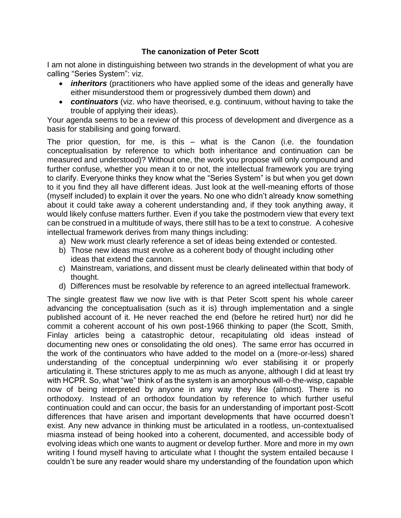## **The canonization of Peter Scott**

I am not alone in distinguishing between two strands in the development of what you are calling "Series System": viz.

- *inheritors* (practitioners who have applied some of the ideas and generally have either misunderstood them or progressively dumbed them down) and
- *continuators* (viz. who have theorised, e.g. continuum, without having to take the trouble of applying their ideas).

Your agenda seems to be a review of this process of development and divergence as a basis for stabilising and going forward.

The prior question, for me, is this – what is the Canon (i.e. the foundation conceptualisation by reference to which both inheritance and continuation can be measured and understood)? Without one, the work you propose will only compound and further confuse, whether you mean it to or not, the intellectual framework you are trying to clarify. Everyone thinks they know what the "Series System" is but when you get down to it you find they all have different ideas. Just look at the well-meaning efforts of those (myself included) to explain it over the years. No one who didn't already know something about it could take away a coherent understanding and, if they took anything away, it would likely confuse matters further. Even if you take the postmodern view that every text can be construed in a multitude of ways, there still has to be a text to construe. A cohesive intellectual framework derives from many things including:

- a) New work must clearly reference a set of ideas being extended or contested.
- b) Those new ideas must evolve as a coherent body of thought including other ideas that extend the cannon.
- c) Mainstream, variations, and dissent must be clearly delineated within that body of thought.
- d) Differences must be resolvable by reference to an agreed intellectual framework.

The single greatest flaw we now live with is that Peter Scott spent his whole career advancing the conceptualisation (such as it is) through implementation and a single published account of it. He never reached the end (before he retired hurt) nor did he commit a coherent account of his own post-1966 thinking to paper (the Scott, Smith, Finlay articles being a catastrophic detour, recapitulating old ideas instead of documenting new ones or consolidating the old ones). The same error has occurred in the work of the continuators who have added to the model on a (more-or-less) shared understanding of the conceptual underpinning w/o ever stabilising it or properly articulating it. These strictures apply to me as much as anyone, although I did at least try with HCPR. So, what "we" think of as the system is an amorphous will-o-the-wisp, capable now of being interpreted by anyone in any way they like (almost). There is no orthodoxy. Instead of an orthodox foundation by reference to which further useful continuation could and can occur, the basis for an understanding of important post-Scott differences that have arisen and important developments that have occurred doesn't exist. Any new advance in thinking must be articulated in a rootless, un-contextualised miasma instead of being hooked into a coherent, documented, and accessible body of evolving ideas which one wants to augment or develop further. More and more in my own writing I found myself having to articulate what I thought the system entailed because I couldn't be sure any reader would share my understanding of the foundation upon which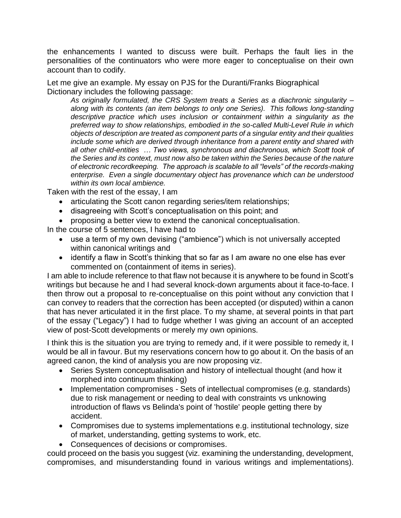the enhancements I wanted to discuss were built. Perhaps the fault lies in the personalities of the continuators who were more eager to conceptualise on their own account than to codify.

Let me give an example. My essay on PJS for the Duranti/Franks Biographical Dictionary includes the following passage:

*As originally formulated, the CRS System treats a Series as a diachronic singularity – along with its contents (an item belongs to only one Series). This follows long-standing descriptive practice which uses inclusion or containment within a singularity as the preferred way to show relationships, embodied in the so-called Multi-Level Rule in which objects of description are treated as component parts of a singular entity and their qualities include some which are derived through inheritance from a parent entity and shared with all other child-entities … Two views, synchronous and diachronous, which Scott took of the Series and its context, must now also be taken within the Series because of the nature of electronic recordkeeping. The approach is scalable to all "levels" of the records-making enterprise. Even a single documentary object has provenance which can be understood within its own local ambience.*

Taken with the rest of the essay, I am

- articulating the Scott canon regarding series/item relationships;
- disagreeing with Scott's conceptualisation on this point; and
- proposing a better view to extend the canonical conceptualisation.

In the course of 5 sentences, I have had to

- use a term of my own devising ("ambience") which is not universally accepted within canonical writings and
- identify a flaw in Scott's thinking that so far as I am aware no one else has ever commented on (containment of items in series).

I am able to include reference to that flaw not because it is anywhere to be found in Scott's writings but because he and I had several knock-down arguments about it face-to-face. I then throw out a proposal to re-conceptualise on this point without any conviction that I can convey to readers that the correction has been accepted (or disputed) within a canon that has never articulated it in the first place. To my shame, at several points in that part of the essay ("Legacy") I had to fudge whether I was giving an account of an accepted view of post-Scott developments or merely my own opinions.

I think this is the situation you are trying to remedy and, if it were possible to remedy it, I would be all in favour. But my reservations concern how to go about it. On the basis of an agreed canon, the kind of analysis you are now proposing viz.

- Series System conceptualisation and history of intellectual thought (and how it morphed into continuum thinking)
- Implementation compromises Sets of intellectual compromises (e.g. standards) due to risk management or needing to deal with constraints vs unknowing introduction of flaws vs Belinda's point of 'hostile' people getting there by accident.
- Compromises due to systems implementations e.g. institutional technology, size of market, understanding, getting systems to work, etc.
- Consequences of decisions or compromises.

could proceed on the basis you suggest (viz. examining the understanding, development, compromises, and misunderstanding found in various writings and implementations).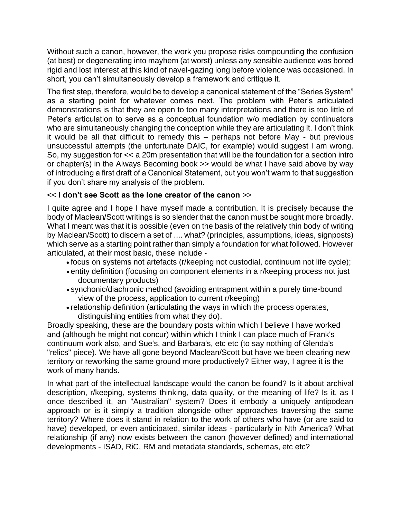Without such a canon, however, the work you propose risks compounding the confusion (at best) or degenerating into mayhem (at worst) unless any sensible audience was bored rigid and lost interest at this kind of navel-gazing long before violence was occasioned. In short, you can't simultaneously develop a framework and critique it.

The first step, therefore, would be to develop a canonical statement of the "Series System" as a starting point for whatever comes next. The problem with Peter's articulated demonstrations is that they are open to too many interpretations and there is too little of Peter's articulation to serve as a conceptual foundation w/o mediation by continuators who are simultaneously changing the conception while they are articulating it. I don't think it would be all that difficult to remedy this – perhaps not before May - but previous unsuccessful attempts (the unfortunate DAIC, for example) would suggest I am wrong. So, my suggestion for << a 20m presentation that will be the foundation for a section intro or chapter(s) in the Always Becoming book >> would be what I have said above by way of introducing a first draft of a Canonical Statement, but you won't warm to that suggestion if you don't share my analysis of the problem.

## << **I don't see Scott as the lone creator of the canon** >>

I quite agree and I hope I have myself made a contribution. It is precisely because the body of Maclean/Scott writings is so slender that the canon must be sought more broadly. What I meant was that it is possible (even on the basis of the relatively thin body of writing by Maclean/Scott) to discern a set of .... what? (principles, assumptions, ideas, signposts) which serve as a starting point rather than simply a foundation for what followed. However articulated, at their most basic, these include -

- focus on systems not artefacts (r/keeping not custodial, continuum not life cycle);
- entity definition (focusing on component elements in a r/keeping process not just documentary products)
- synchonic/diachronic method (avoiding entrapment within a purely time-bound view of the process, application to current r/keeping)
- relationship definition (articulating the ways in which the process operates, distinguishing entities from what they do).

Broadly speaking, these are the boundary posts within which I believe I have worked and (although he might not concur) within which I think I can place much of Frank's continuum work also, and Sue's, and Barbara's, etc etc (to say nothing of Glenda's "relics" piece). We have all gone beyond Maclean/Scott but have we been clearing new territory or reworking the same ground more productively? Either way, I agree it is the work of many hands.

In what part of the intellectual landscape would the canon be found? Is it about archival description, r/keeping, systems thinking, data quality, or the meaning of life? Is it, as I once described it, an "Australian" system? Does it embody a uniquely antipodean approach or is it simply a tradition alongside other approaches traversing the same territory? Where does it stand in relation to the work of others who have (or are said to have) developed, or even anticipated, similar ideas - particularly in Nth America? What relationship (if any) now exists between the canon (however defined) and international developments - ISAD, RiC, RM and metadata standards, schemas, etc etc?